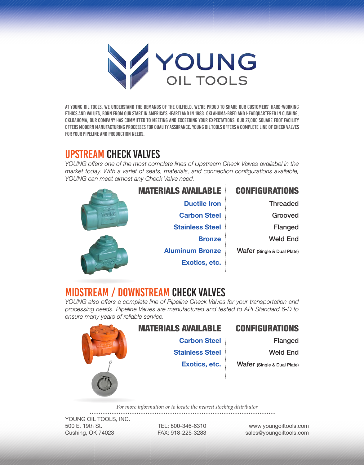

At Young Oil Tools, we understand the demands of the oilfield. We're proud to share our customers' hard-working ethics and values, born from our start in America's heartland in 1983. Oklahoma-bred and headquartered in Cushing, Okloahoma, our company has committed to meeting and exceeding your expectations. Our 27,000 square foot facility offers modern manufacturing processes for quality assurance. Young Oil Tools offers a complete line of check valves for your pipeline and production needs.

# UPSTREAM CHECK VALVES

*YOUNG offers one of the most complete lines of Upstream Check Valves availabel in the market today. With a variet of seats, materials, and connection configurations available, YOUNG can meet almost any Check Valve need.*



# MIDSTREAM / DOWNSTREAM CHECK VALVES

*YOUNG also offers a complete line of Pipeline Check Valves for your transportation and processing needs. Pipeline Valves are manufactured and tested to API Standard 6-D to ensure many years of reliable service.*



#### MATERIALS AVAILABLE CONFIGURATIONS

**Carbon Steel**

**Exotics, etc.**

**Stainless Steel**

Flanged

Weld End

Wafer (Single & Dual Plate)

*For more information or to locate the nearest stocking distributor*

YOUNG OIL TOOLS, INC. 500 E. 19th St. Cushing, OK 74023

TEL: 800-346-6310 FAX: 918-225-3283

www.youngoiltools.com sales@youngoiltools.com